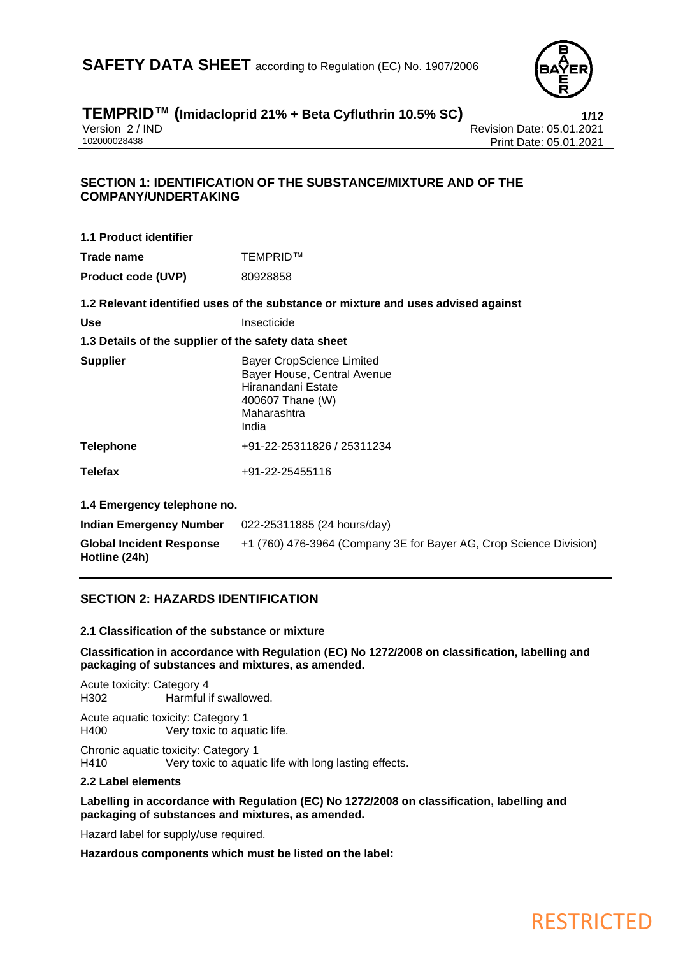

# **TEMPRID™ (Imidacloprid 21% + Beta Cyfluthrin 10.5% SC) 1/12**

Version 2 / IND<br>102000028438<br>Print Date: 05.01.2021 Print Date: 05.01.2021

### **SECTION 1: IDENTIFICATION OF THE SUBSTANCE/MIXTURE AND OF THE COMPANY/UNDERTAKING**

| 1.1 Product identifier                               |                                                                                                                          |
|------------------------------------------------------|--------------------------------------------------------------------------------------------------------------------------|
| Trade name                                           | TEMPRID™                                                                                                                 |
| <b>Product code (UVP)</b>                            | 80928858                                                                                                                 |
|                                                      | 1.2 Relevant identified uses of the substance or mixture and uses advised against                                        |
| Use                                                  | Insecticide                                                                                                              |
| 1.3 Details of the supplier of the safety data sheet |                                                                                                                          |
| <b>Supplier</b>                                      | <b>Bayer CropScience Limited</b><br>Bayer House, Central Avenue<br>Hiranandani Estate<br>400607 Thane (W)<br>Maharashtra |

India

**Telephone** +91-22-25311826 / 25311234

**Telefax** +91-22-25455116

**1.4 Emergency telephone no.**

| Indian Emergency Number                          | 022-25311885 (24 hours/day)                                        |
|--------------------------------------------------|--------------------------------------------------------------------|
| <b>Global Incident Response</b><br>Hotline (24h) | +1 (760) 476-3964 (Company 3E for Bayer AG, Crop Science Division) |

### **SECTION 2: HAZARDS IDENTIFICATION**

### **2.1 Classification of the substance or mixture**

**Classification in accordance with Regulation (EC) No 1272/2008 on classification, labelling and packaging of substances and mixtures, as amended.**

Acute toxicity: Category 4 H302 Harmful if swallowed.

Acute aquatic toxicity: Category 1 H400 Very toxic to aquatic life.

Chronic aquatic toxicity: Category 1<br>
H410 Very toxic to aquat Very toxic to aquatic life with long lasting effects.

### **2.2 Label elements**

**Labelling in accordance with Regulation (EC) No 1272/2008 on classification, labelling and packaging of substances and mixtures, as amended.**

Hazard label for supply/use required.

**Hazardous components which must be listed on the label:**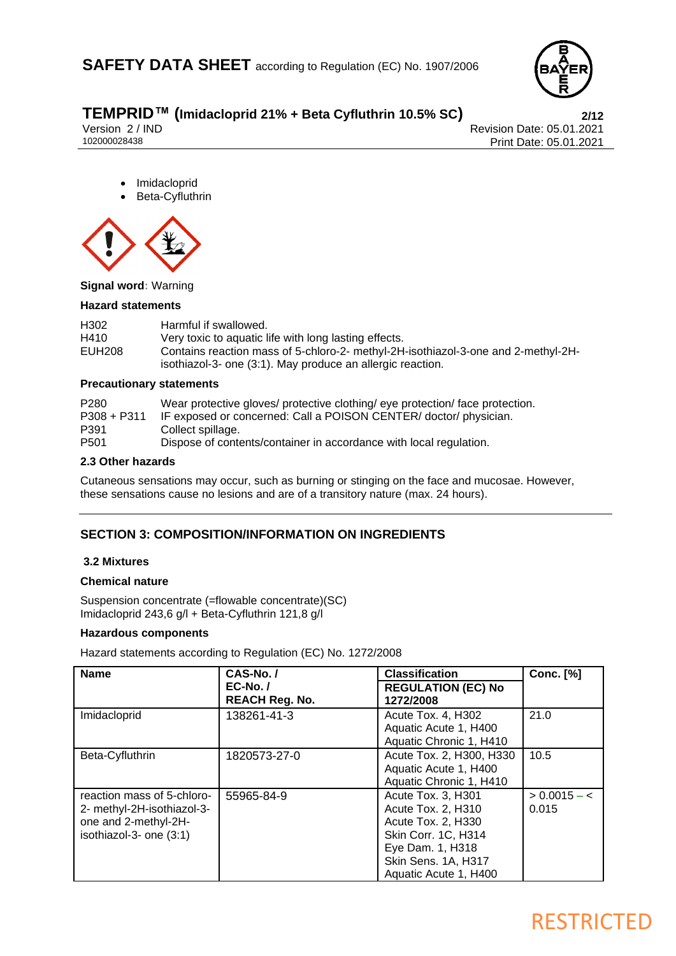

# **TEMPRID™ (Imidacloprid 21% + Beta Cyfluthrin 10.5% SC) 2/12**

Version 2 / IND Revision Date: 05.01.2021<br>102000028438 Print Date: 05.01.2021 Print Date: 05.01.2021

- **Imidacloprid**
- Beta-Cyfluthrin



**Signal word:** Warning

### **Hazard statements**

| H302   | Harmful if swallowed.                                                                                                                           |
|--------|-------------------------------------------------------------------------------------------------------------------------------------------------|
| H410   | Very toxic to aquatic life with long lasting effects.                                                                                           |
| EUH208 | Contains reaction mass of 5-chloro-2- methyl-2H-isothiazol-3-one and 2-methyl-2H-<br>isothiazol-3- one (3:1). May produce an allergic reaction. |

### **Precautionary statements**

| P <sub>280</sub><br>$P308 + P311$ | Wear protective gloves/ protective clothing/ eye protection/ face protection.<br>IF exposed or concerned: Call a POISON CENTER/ doctor/ physician. |
|-----------------------------------|----------------------------------------------------------------------------------------------------------------------------------------------------|
| P391                              | Collect spillage.                                                                                                                                  |
| P <sub>501</sub>                  | Dispose of contents/container in accordance with local regulation.                                                                                 |

### **2.3 Other hazards**

Cutaneous sensations may occur, such as burning or stinging on the face and mucosae. However, these sensations cause no lesions and are of a transitory nature (max. 24 hours).

### **SECTION 3: COMPOSITION/INFORMATION ON INGREDIENTS**

### **3.2 Mixtures**

### **Chemical nature**

Suspension concentrate (=flowable concentrate)(SC) Imidacloprid 243,6 g/l + Beta-Cyfluthrin 121,8 g/l

### **Hazardous components**

Hazard statements according to Regulation (EC) No. 1272/2008

| <b>Name</b>                                                                                                 | CAS-No./<br>$EC-No.$<br><b>REACH Reg. No.</b> | <b>Classification</b><br><b>REGULATION (EC) No</b><br>1272/2008                                                                                           | <b>Conc.</b> [%]        |
|-------------------------------------------------------------------------------------------------------------|-----------------------------------------------|-----------------------------------------------------------------------------------------------------------------------------------------------------------|-------------------------|
| Imidacloprid                                                                                                | 138261-41-3                                   | Acute Tox. 4, H302<br>Aquatic Acute 1, H400<br>Aquatic Chronic 1, H410                                                                                    | 21.0                    |
| Beta-Cyfluthrin                                                                                             | 1820573-27-0                                  | Acute Tox. 2, H300, H330<br>Aquatic Acute 1, H400<br>Aquatic Chronic 1, H410                                                                              | 10.5                    |
| reaction mass of 5-chloro-<br>2- methyl-2H-isothiazol-3-<br>one and 2-methyl-2H-<br>isothiazol-3- one (3:1) | 55965-84-9                                    | Acute Tox. 3, H301<br>Acute Tox. 2, H310<br>Acute Tox. 2, H330<br>Skin Corr. 1C, H314<br>Eye Dam. 1, H318<br>Skin Sens. 1A, H317<br>Aquatic Acute 1, H400 | $> 0.0015 - c$<br>0.015 |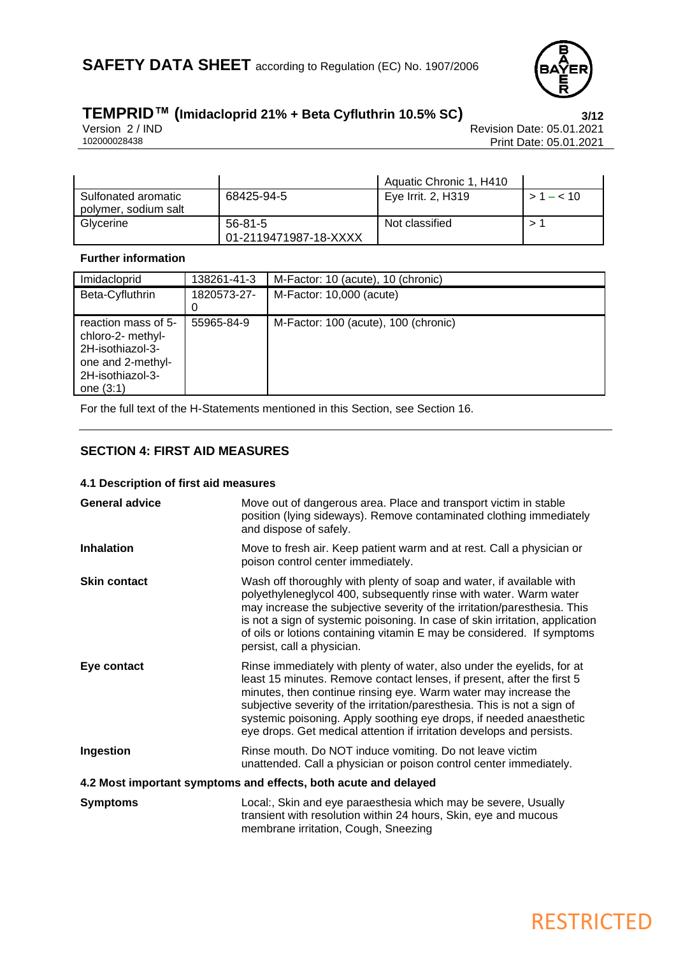

# **TEMPRID™ (Imidacloprid 21% + Beta Cyfluthrin 10.5% SC) 3/12**

Version 2 / IND Revision Date: 05.01.2021<br>102000028438 Print Date: 05.01.2021 Print Date: 05.01.2021

|                                             |                                  | Aquatic Chronic 1, H410 |           |
|---------------------------------------------|----------------------------------|-------------------------|-----------|
| Sulfonated aromatic<br>polymer, sodium salt | 68425-94-5                       | Eye Irrit. 2, H319      | $>1 - 10$ |
| Glycerine                                   | 56-81-5<br>01-2119471987-18-XXXX | Not classified          |           |

### **Further information**

| Imidacloprid                                                 | 138261-41-3             | M-Factor: 10 (acute), 10 (chronic)   |
|--------------------------------------------------------------|-------------------------|--------------------------------------|
| Beta-Cyfluthrin                                              | 1820573-27-<br>$\Omega$ | M-Factor: 10,000 (acute)             |
| reaction mass of 5-<br>chloro-2- methyl-<br>2H-isothiazol-3- | 55965-84-9              | M-Factor: 100 (acute), 100 (chronic) |
| one and 2-methyl-<br>2H-isothiazol-3-<br>one $(3:1)$         |                         |                                      |

For the full text of the H-Statements mentioned in this Section, see Section 16.

### **SECTION 4: FIRST AID MEASURES**

### **4.1 Description of first aid measures**

| <b>General advice</b> | Move out of dangerous area. Place and transport victim in stable<br>position (lying sideways). Remove contaminated clothing immediately<br>and dispose of safely.                                                                                                                                                                                                                                                                               |
|-----------------------|-------------------------------------------------------------------------------------------------------------------------------------------------------------------------------------------------------------------------------------------------------------------------------------------------------------------------------------------------------------------------------------------------------------------------------------------------|
| Inhalation            | Move to fresh air. Keep patient warm and at rest. Call a physician or<br>poison control center immediately.                                                                                                                                                                                                                                                                                                                                     |
| <b>Skin contact</b>   | Wash off thoroughly with plenty of soap and water, if available with<br>polyethyleneglycol 400, subsequently rinse with water. Warm water<br>may increase the subjective severity of the irritation/paresthesia. This<br>is not a sign of systemic poisoning. In case of skin irritation, application<br>of oils or lotions containing vitamin E may be considered. If symptoms<br>persist, call a physician.                                   |
| Eye contact           | Rinse immediately with plenty of water, also under the eyelids, for at<br>least 15 minutes. Remove contact lenses, if present, after the first 5<br>minutes, then continue rinsing eye. Warm water may increase the<br>subjective severity of the irritation/paresthesia. This is not a sign of<br>systemic poisoning. Apply soothing eye drops, if needed anaesthetic<br>eye drops. Get medical attention if irritation develops and persists. |
| Ingestion             | Rinse mouth. Do NOT induce vomiting. Do not leave victim<br>unattended. Call a physician or poison control center immediately.                                                                                                                                                                                                                                                                                                                  |
|                       | 4.2 Most important symptoms and effects, both acute and delayed                                                                                                                                                                                                                                                                                                                                                                                 |
| <b>Symptoms</b>       | Local:, Skin and eye paraesthesia which may be severe, Usually<br>transient with resolution within 24 hours, Skin, eye and mucous<br>membrane irritation, Cough, Sneezing                                                                                                                                                                                                                                                                       |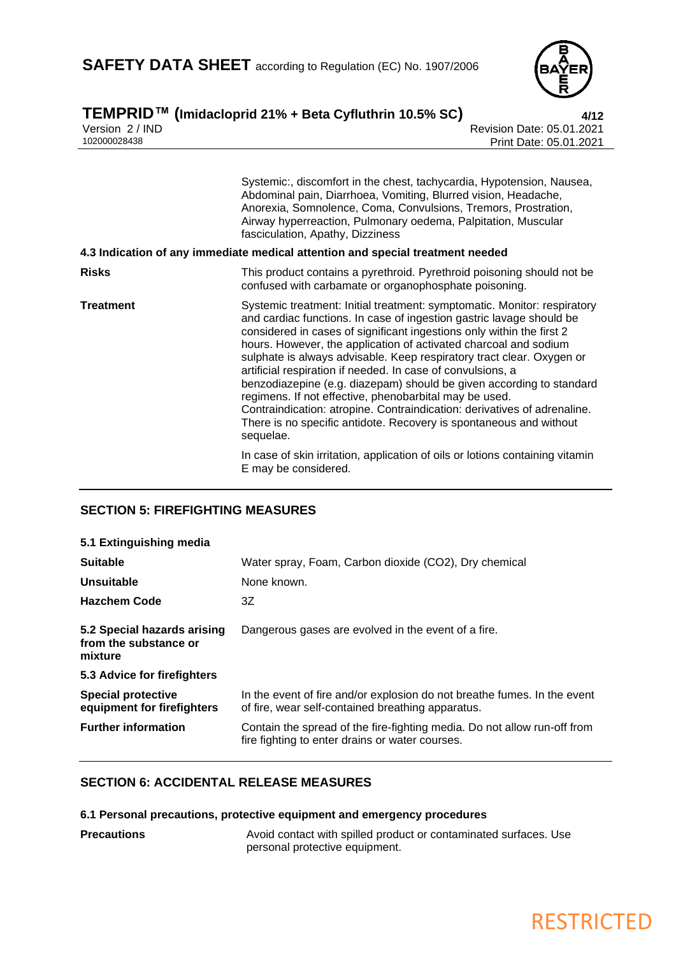

# **TEMPRID™ (Imidacloprid 21% + Beta Cyfluthrin 10.5% SC) 4/12**

Version 2 / IND Revision Date: 05.01.2021<br>102000028438 Print Date: 05.01.2021 Print Date: 05.01.2021

|                  | Systemic:, discomfort in the chest, tachycardia, Hypotension, Nausea,<br>Abdominal pain, Diarrhoea, Vomiting, Blurred vision, Headache,<br>Anorexia, Somnolence, Coma, Convulsions, Tremors, Prostration,<br>Airway hyperreaction, Pulmonary oedema, Palpitation, Muscular<br>fasciculation, Apathy, Dizziness<br>4.3 Indication of any immediate medical attention and special treatment needed                                                                                                                                                                                                                                                                                                                                       |
|------------------|----------------------------------------------------------------------------------------------------------------------------------------------------------------------------------------------------------------------------------------------------------------------------------------------------------------------------------------------------------------------------------------------------------------------------------------------------------------------------------------------------------------------------------------------------------------------------------------------------------------------------------------------------------------------------------------------------------------------------------------|
|                  |                                                                                                                                                                                                                                                                                                                                                                                                                                                                                                                                                                                                                                                                                                                                        |
| <b>Risks</b>     | This product contains a pyrethroid. Pyrethroid poisoning should not be<br>confused with carbamate or organophosphate poisoning.                                                                                                                                                                                                                                                                                                                                                                                                                                                                                                                                                                                                        |
| <b>Treatment</b> | Systemic treatment: Initial treatment: symptomatic. Monitor: respiratory<br>and cardiac functions. In case of ingestion gastric lavage should be<br>considered in cases of significant ingestions only within the first 2<br>hours. However, the application of activated charcoal and sodium<br>sulphate is always advisable. Keep respiratory tract clear. Oxygen or<br>artificial respiration if needed. In case of convulsions, a<br>benzodiazepine (e.g. diazepam) should be given according to standard<br>regimens. If not effective, phenobarbital may be used.<br>Contraindication: atropine. Contraindication: derivatives of adrenaline.<br>There is no specific antidote. Recovery is spontaneous and without<br>sequelae. |
|                  | In case of skin irritation, application of oils or lotions containing vitamin<br>E may be considered.                                                                                                                                                                                                                                                                                                                                                                                                                                                                                                                                                                                                                                  |

### **SECTION 5: FIREFIGHTING MEASURES**

| 5.1 Extinguishing media                                         |                                                                                                                               |
|-----------------------------------------------------------------|-------------------------------------------------------------------------------------------------------------------------------|
| <b>Suitable</b>                                                 | Water spray, Foam, Carbon dioxide (CO2), Dry chemical                                                                         |
| Unsuitable                                                      | None known.                                                                                                                   |
| <b>Hazchem Code</b>                                             | 3Ζ                                                                                                                            |
| 5.2 Special hazards arising<br>from the substance or<br>mixture | Dangerous gases are evolved in the event of a fire.                                                                           |
| 5.3 Advice for firefighters                                     |                                                                                                                               |
| <b>Special protective</b><br>equipment for firefighters         | In the event of fire and/or explosion do not breathe fumes. In the event<br>of fire, wear self-contained breathing apparatus. |
| <b>Further information</b>                                      | Contain the spread of the fire-fighting media. Do not allow run-off from<br>fire fighting to enter drains or water courses.   |

### **SECTION 6: ACCIDENTAL RELEASE MEASURES**

### **6.1 Personal precautions, protective equipment and emergency procedures**

**Precautions Precautions** Avoid contact with spilled product or contaminated surfaces. Use personal protective equipment.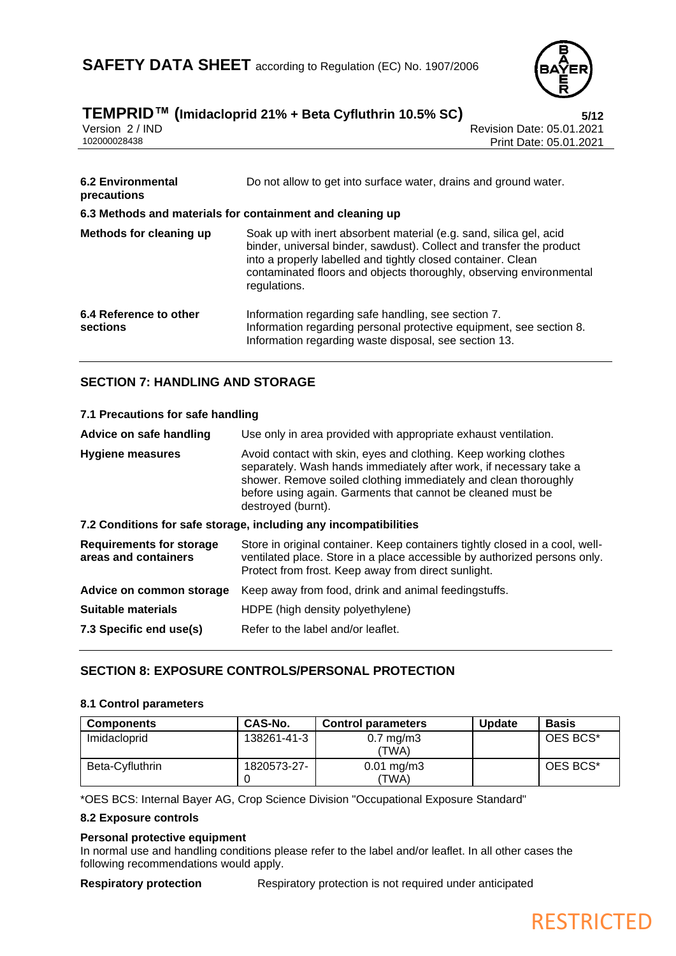

| I LIVIF INID<br>Version 2 / IND<br>102000028438           | $\mu$ iiiiiuaciopriu 2170 + Bela Cyfiuliiiiii 10.570 SC)<br>3/12<br>Revision Date: 05.01.2021<br>Print Date: 05.01.2021                                                                                                                                                                           |
|-----------------------------------------------------------|---------------------------------------------------------------------------------------------------------------------------------------------------------------------------------------------------------------------------------------------------------------------------------------------------|
| <b>6.2 Environmental</b><br>precautions                   | Do not allow to get into surface water, drains and ground water.                                                                                                                                                                                                                                  |
| 6.3 Methods and materials for containment and cleaning up |                                                                                                                                                                                                                                                                                                   |
| Methods for cleaning up                                   | Soak up with inert absorbent material (e.g. sand, silica gel, acid<br>binder, universal binder, sawdust). Collect and transfer the product<br>into a properly labelled and tightly closed container. Clean<br>contaminated floors and objects thoroughly, observing environmental<br>regulations. |
| 6.4 Reference to other<br>sections                        | Information regarding safe handling, see section 7.<br>Information regarding personal protective equipment, see section 8.<br>Information regarding waste disposal, see section 13.                                                                                                               |

### **TEMPRID™ (Imidacloprid 21% + Beta Cyfluthrin 10.5% SC) 5/12**

### **SECTION 7: HANDLING AND STORAGE**

| 7.1 Precautions for safe handling                                |                                                                                                                                                                                                                                                                                                |  |
|------------------------------------------------------------------|------------------------------------------------------------------------------------------------------------------------------------------------------------------------------------------------------------------------------------------------------------------------------------------------|--|
| Advice on safe handling                                          | Use only in area provided with appropriate exhaust ventilation.                                                                                                                                                                                                                                |  |
| <b>Hygiene measures</b>                                          | Avoid contact with skin, eyes and clothing. Keep working clothes<br>separately. Wash hands immediately after work, if necessary take a<br>shower. Remove soiled clothing immediately and clean thoroughly<br>before using again. Garments that cannot be cleaned must be<br>destroyed (burnt). |  |
| 7.2 Conditions for safe storage, including any incompatibilities |                                                                                                                                                                                                                                                                                                |  |
| <b>Requirements for storage</b><br>areas and containers          | Store in original container. Keep containers tightly closed in a cool, well-<br>ventilated place. Store in a place accessible by authorized persons only.<br>Protect from frost. Keep away from direct sunlight.                                                                               |  |
| Advice on common storage                                         | Keep away from food, drink and animal feedingstuffs.                                                                                                                                                                                                                                           |  |
| Suitable materials                                               | HDPE (high density polyethylene)                                                                                                                                                                                                                                                               |  |
| 7.3 Specific end use(s)                                          | Refer to the label and/or leaflet.                                                                                                                                                                                                                                                             |  |

### **SECTION 8: EXPOSURE CONTROLS/PERSONAL PROTECTION**

### **8.1 Control parameters**

| <b>Components</b> | CAS-No.     | <b>Control parameters</b>        | <b>Update</b> | <b>Basis</b> |
|-------------------|-------------|----------------------------------|---------------|--------------|
| Imidacloprid      | 138261-41-3 | $0.7 \text{ mg/m}$ 3<br>TWA)     |               | OES BCS*     |
| Beta-Cyfluthrin   | 1820573-27- | $0.01 \,\mathrm{mg/m3}$<br>'TWA) |               | OES BCS*     |

\*OES BCS: Internal Bayer AG, Crop Science Division "Occupational Exposure Standard"

### **8.2 Exposure controls**

### **Personal protective equipment**

In normal use and handling conditions please refer to the label and/or leaflet. In all other cases the following recommendations would apply.

**Respiratory protection** Respiratory protection is not required under anticipated

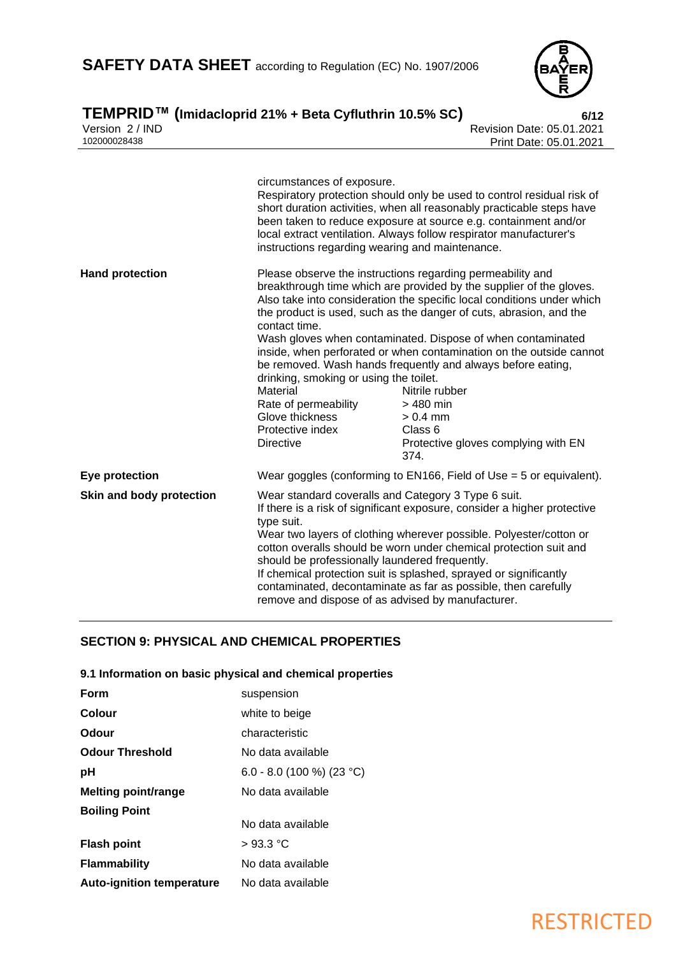

### **TEMPRID™ (Imidacloprid 21% + Beta Cyfluthrin 10.5% SC) 6/12** Version 2 / IND Revision Date: 05.01.2021 102000028438 Print Date: 05.01.2021

|                          | circumstances of exposure.<br>instructions regarding wearing and maintenance.                                                                                                                                                                                                                                                                                                                                                                                                                                                          | Respiratory protection should only be used to control residual risk of<br>short duration activities, when all reasonably practicable steps have<br>been taken to reduce exposure at source e.g. containment and/or<br>local extract ventilation. Always follow respirator manufacturer's                                                                                                                                                                                                                                                                                                       |
|--------------------------|----------------------------------------------------------------------------------------------------------------------------------------------------------------------------------------------------------------------------------------------------------------------------------------------------------------------------------------------------------------------------------------------------------------------------------------------------------------------------------------------------------------------------------------|------------------------------------------------------------------------------------------------------------------------------------------------------------------------------------------------------------------------------------------------------------------------------------------------------------------------------------------------------------------------------------------------------------------------------------------------------------------------------------------------------------------------------------------------------------------------------------------------|
| <b>Hand protection</b>   | contact time.<br>drinking, smoking or using the toilet.<br>Material<br>Rate of permeability<br>Glove thickness<br>Protective index<br><b>Directive</b>                                                                                                                                                                                                                                                                                                                                                                                 | Please observe the instructions regarding permeability and<br>breakthrough time which are provided by the supplier of the gloves.<br>Also take into consideration the specific local conditions under which<br>the product is used, such as the danger of cuts, abrasion, and the<br>Wash gloves when contaminated. Dispose of when contaminated<br>inside, when perforated or when contamination on the outside cannot<br>be removed. Wash hands frequently and always before eating,<br>Nitrile rubber<br>$>480$ min<br>$> 0.4$ mm<br>Class 6<br>Protective gloves complying with EN<br>374. |
| Eye protection           | Wear goggles (conforming to EN166, Field of Use $=$ 5 or equivalent).                                                                                                                                                                                                                                                                                                                                                                                                                                                                  |                                                                                                                                                                                                                                                                                                                                                                                                                                                                                                                                                                                                |
| Skin and body protection | Wear standard coveralls and Category 3 Type 6 suit.<br>If there is a risk of significant exposure, consider a higher protective<br>type suit.<br>Wear two layers of clothing wherever possible. Polyester/cotton or<br>cotton overalls should be worn under chemical protection suit and<br>should be professionally laundered frequently.<br>If chemical protection suit is splashed, sprayed or significantly<br>contaminated, decontaminate as far as possible, then carefully<br>remove and dispose of as advised by manufacturer. |                                                                                                                                                                                                                                                                                                                                                                                                                                                                                                                                                                                                |

### **SECTION 9: PHYSICAL AND CHEMICAL PROPERTIES**

### **9.1 Information on basic physical and chemical properties**

| <b>Form</b>                      | suspension                |
|----------------------------------|---------------------------|
| Colour                           | white to beige            |
| Odour                            | characteristic            |
| <b>Odour Threshold</b>           | No data available         |
| рH                               | 6.0 - 8.0 (100 %) (23 °C) |
| <b>Melting point/range</b>       | No data available         |
| <b>Boiling Point</b>             |                           |
|                                  | No data available         |
| <b>Flash point</b>               | $>93.3$ °C                |
| <b>Flammability</b>              | No data available         |
| <b>Auto-ignition temperature</b> | No data available         |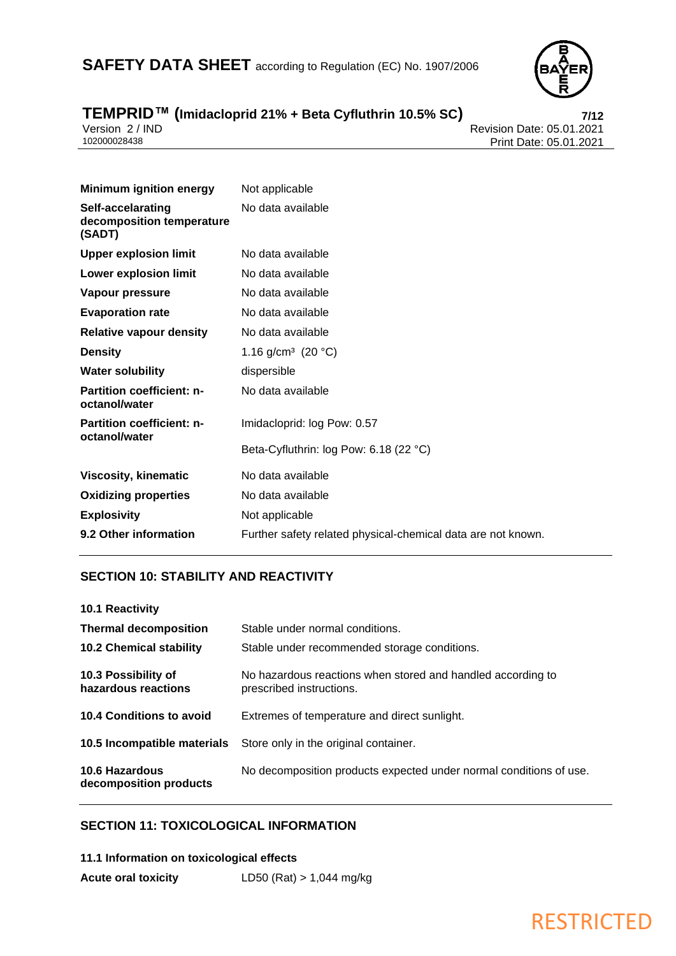

# **TEMPRID™ (Imidacloprid 21% + Beta Cyfluthrin 10.5% SC) 7/12**

Version 2 / IND Revision Date: 05.01.2021 Print Date: 05.01.2021

| <b>Minimum ignition energy</b>                           | Not applicable                                               |
|----------------------------------------------------------|--------------------------------------------------------------|
| Self-accelarating<br>decomposition temperature<br>(SADT) | No data available                                            |
| <b>Upper explosion limit</b>                             | No data available                                            |
| <b>Lower explosion limit</b>                             | No data available                                            |
| Vapour pressure                                          | No data available                                            |
| <b>Evaporation rate</b>                                  | No data available                                            |
| <b>Relative vapour density</b>                           | No data available                                            |
| <b>Density</b>                                           | 1.16 g/cm <sup>3</sup> (20 °C)                               |
| <b>Water solubility</b>                                  | dispersible                                                  |
| <b>Partition coefficient: n-</b><br>octanol/water        | No data available                                            |
| <b>Partition coefficient: n-</b><br>octanol/water        | Imidacloprid: log Pow: 0.57                                  |
|                                                          | Beta-Cyfluthrin: log Pow: 6.18 (22 °C)                       |
| <b>Viscosity, kinematic</b>                              | No data available                                            |
| <b>Oxidizing properties</b>                              | No data available                                            |
| <b>Explosivity</b>                                       | Not applicable                                               |
| 9.2 Other information                                    | Further safety related physical-chemical data are not known. |

### **SECTION 10: STABILITY AND REACTIVITY**

| <b>10.1 Reactivity</b>                     |                                                                                         |
|--------------------------------------------|-----------------------------------------------------------------------------------------|
| <b>Thermal decomposition</b>               | Stable under normal conditions.                                                         |
| <b>10.2 Chemical stability</b>             | Stable under recommended storage conditions.                                            |
| 10.3 Possibility of<br>hazardous reactions | No hazardous reactions when stored and handled according to<br>prescribed instructions. |
| 10.4 Conditions to avoid                   | Extremes of temperature and direct sunlight.                                            |
| 10.5 Incompatible materials                | Store only in the original container.                                                   |
| 10.6 Hazardous<br>decomposition products   | No decomposition products expected under normal conditions of use.                      |

### **SECTION 11: TOXICOLOGICAL INFORMATION**

| 11.1 Information on toxicological effects |                            |
|-------------------------------------------|----------------------------|
| <b>Acute oral toxicity</b>                | LD50 (Rat) $> 1,044$ mg/kg |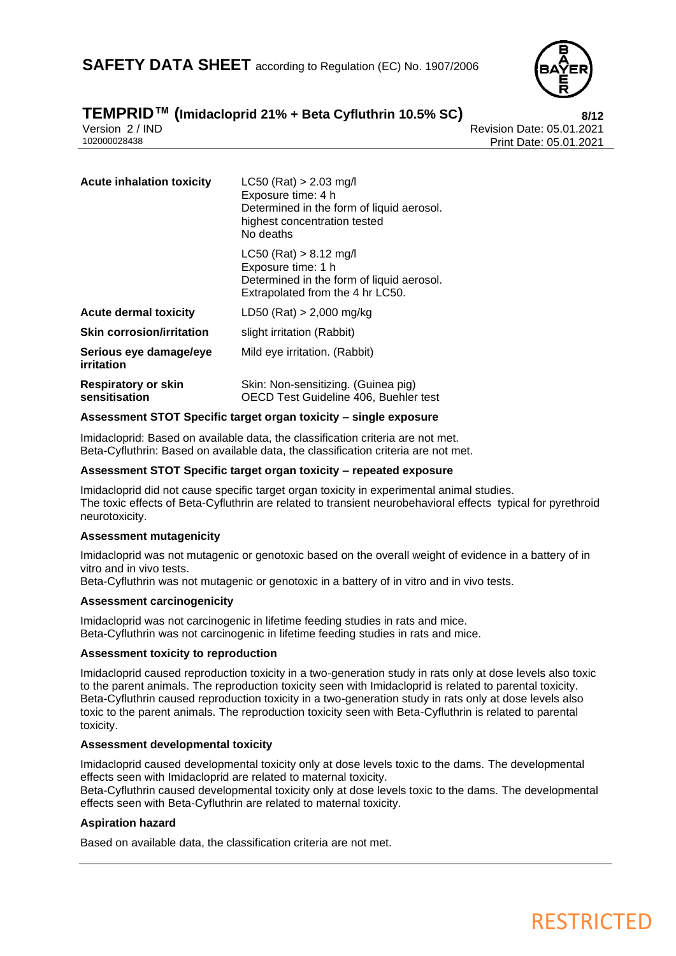

## **TEMPRID™ (Imidacloprid 21% + Beta Cyfluthrin 10.5% SC) 8/12**

Version 2 / IND<br>102000028438<br>Print Date: 05.01.2021 Print Date: 05.01.2021

| <b>Acute inhalation toxicity</b>            | $LC50$ (Rat) > 2.03 mg/l<br>Exposure time: 4 h<br>Determined in the form of liquid aerosol.<br>highest concentration tested<br>No deaths |
|---------------------------------------------|------------------------------------------------------------------------------------------------------------------------------------------|
|                                             | $LC50$ (Rat) > 8.12 mg/l<br>Exposure time: 1 h<br>Determined in the form of liquid aerosol.<br>Extrapolated from the 4 hr LC50.          |
| <b>Acute dermal toxicity</b>                | LD50 (Rat) $> 2,000$ mg/kg                                                                                                               |
| <b>Skin corrosion/irritation</b>            | slight irritation (Rabbit)                                                                                                               |
| Serious eye damage/eye<br>irritation        | Mild eye irritation. (Rabbit)                                                                                                            |
| <b>Respiratory or skin</b><br>sensitisation | Skin: Non-sensitizing. (Guinea pig)<br>OECD Test Guideline 406, Buehler test                                                             |

### **Assessment STOT Specific target organ toxicity – single exposure**

Imidacloprid: Based on available data, the classification criteria are not met. Beta-Cyfluthrin: Based on available data, the classification criteria are not met.

### **Assessment STOT Specific target organ toxicity – repeated exposure**

Imidacloprid did not cause specific target organ toxicity in experimental animal studies. The toxic effects of Beta-Cyfluthrin are related to transient neurobehavioral effects typical for pyrethroid neurotoxicity.

### **Assessment mutagenicity**

Imidacloprid was not mutagenic or genotoxic based on the overall weight of evidence in a battery of in vitro and in vivo tests.

Beta-Cyfluthrin was not mutagenic or genotoxic in a battery of in vitro and in vivo tests.

### **Assessment carcinogenicity**

Imidacloprid was not carcinogenic in lifetime feeding studies in rats and mice. Beta-Cyfluthrin was not carcinogenic in lifetime feeding studies in rats and mice.

### **Assessment toxicity to reproduction**

Imidacloprid caused reproduction toxicity in a two-generation study in rats only at dose levels also toxic to the parent animals. The reproduction toxicity seen with Imidacloprid is related to parental toxicity. Beta-Cyfluthrin caused reproduction toxicity in a two-generation study in rats only at dose levels also toxic to the parent animals. The reproduction toxicity seen with Beta-Cyfluthrin is related to parental toxicity.

### **Assessment developmental toxicity**

Imidacloprid caused developmental toxicity only at dose levels toxic to the dams. The developmental effects seen with Imidacloprid are related to maternal toxicity.

Beta-Cyfluthrin caused developmental toxicity only at dose levels toxic to the dams. The developmental effects seen with Beta-Cyfluthrin are related to maternal toxicity.

### **Aspiration hazard**

Based on available data, the classification criteria are not met.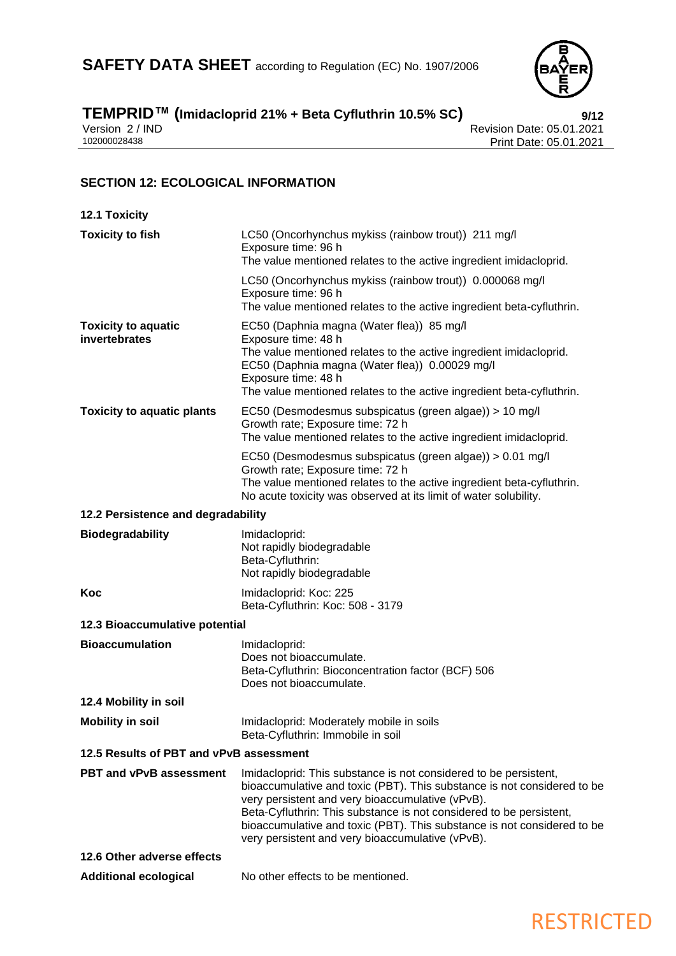

### **TEMPRID™ (Imidacloprid 21% + Beta Cyfluthrin 10.5% SC) 9/12**

Version 2 / IND Revision Date: 05.01.2021 102000028438 Print Date: 05.01.2021

### **SECTION 12: ECOLOGICAL INFORMATION**

| <b>12.1 Toxicity</b>                        |                                                                                                                                                                                                                                                                                                                                                                                                       |
|---------------------------------------------|-------------------------------------------------------------------------------------------------------------------------------------------------------------------------------------------------------------------------------------------------------------------------------------------------------------------------------------------------------------------------------------------------------|
| <b>Toxicity to fish</b>                     | LC50 (Oncorhynchus mykiss (rainbow trout)) 211 mg/l<br>Exposure time: 96 h<br>The value mentioned relates to the active ingredient imidacloprid.                                                                                                                                                                                                                                                      |
|                                             | LC50 (Oncorhynchus mykiss (rainbow trout)) 0.000068 mg/l<br>Exposure time: 96 h<br>The value mentioned relates to the active ingredient beta-cyfluthrin.                                                                                                                                                                                                                                              |
| <b>Toxicity to aquatic</b><br>invertebrates | EC50 (Daphnia magna (Water flea)) 85 mg/l<br>Exposure time: 48 h<br>The value mentioned relates to the active ingredient imidacloprid.<br>EC50 (Daphnia magna (Water flea)) 0.00029 mg/l<br>Exposure time: 48 h<br>The value mentioned relates to the active ingredient beta-cyfluthrin.                                                                                                              |
| <b>Toxicity to aquatic plants</b>           | EC50 (Desmodesmus subspicatus (green algae)) > 10 mg/l<br>Growth rate; Exposure time: 72 h<br>The value mentioned relates to the active ingredient imidacloprid.                                                                                                                                                                                                                                      |
|                                             | EC50 (Desmodesmus subspicatus (green algae)) > 0.01 mg/l<br>Growth rate; Exposure time: 72 h<br>The value mentioned relates to the active ingredient beta-cyfluthrin.<br>No acute toxicity was observed at its limit of water solubility.                                                                                                                                                             |
| 12.2 Persistence and degradability          |                                                                                                                                                                                                                                                                                                                                                                                                       |
| <b>Biodegradability</b>                     | Imidacloprid:<br>Not rapidly biodegradable<br>Beta-Cyfluthrin:<br>Not rapidly biodegradable                                                                                                                                                                                                                                                                                                           |
| Koc                                         | Imidacloprid: Koc: 225<br>Beta-Cyfluthrin: Koc: 508 - 3179                                                                                                                                                                                                                                                                                                                                            |
| 12.3 Bioaccumulative potential              |                                                                                                                                                                                                                                                                                                                                                                                                       |
| <b>Bioaccumulation</b>                      | Imidacloprid:<br>Does not bioaccumulate.<br>Beta-Cyfluthrin: Bioconcentration factor (BCF) 506<br>Does not bioaccumulate.                                                                                                                                                                                                                                                                             |
| 12.4 Mobility in soil                       |                                                                                                                                                                                                                                                                                                                                                                                                       |
| <b>Mobility in soil</b>                     | Imidacloprid: Moderately mobile in soils<br>Beta-Cyfluthrin: Immobile in soil                                                                                                                                                                                                                                                                                                                         |
| 12.5 Results of PBT and vPvB assessment     |                                                                                                                                                                                                                                                                                                                                                                                                       |
| <b>PBT and vPvB assessment</b>              | Imidacloprid: This substance is not considered to be persistent,<br>bioaccumulative and toxic (PBT). This substance is not considered to be<br>very persistent and very bioaccumulative (vPvB).<br>Beta-Cyfluthrin: This substance is not considered to be persistent,<br>bioaccumulative and toxic (PBT). This substance is not considered to be<br>very persistent and very bioaccumulative (vPvB). |
| 12.6 Other adverse effects                  |                                                                                                                                                                                                                                                                                                                                                                                                       |
| <b>Additional ecological</b>                | No other effects to be mentioned.                                                                                                                                                                                                                                                                                                                                                                     |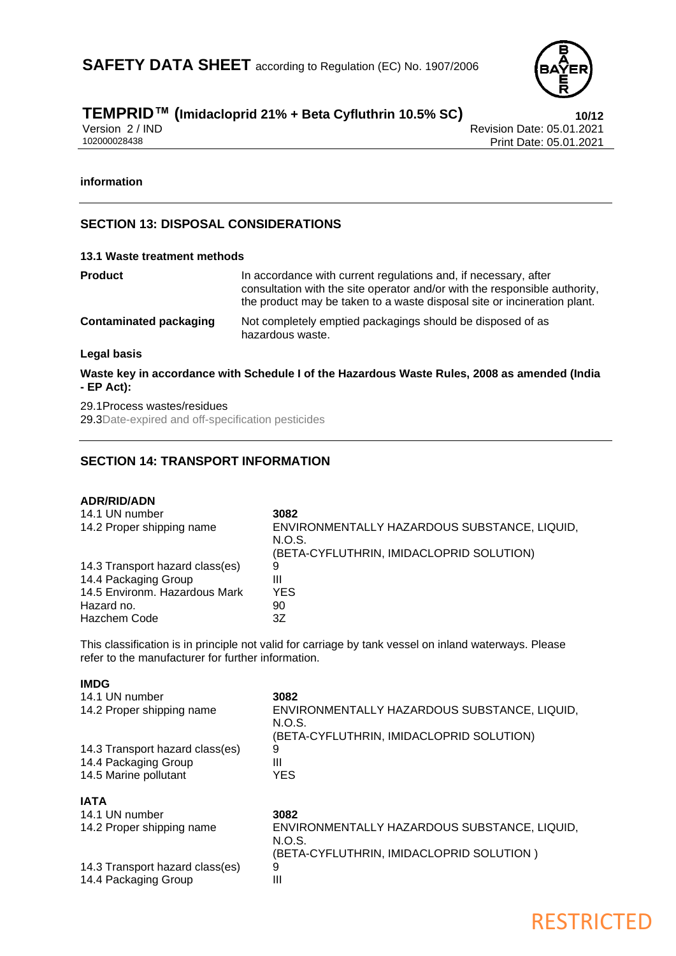

# **TEMPRID™ (Imidacloprid 21% + Beta Cyfluthrin 10.5% SC) 10/12**

Version 2 / IND Revision Date: 05.01.2021<br>102000028438 Print Date: 05.01.2021 Print Date: 05.01.2021

### **information**

**IMDG**

### **SECTION 13: DISPOSAL CONSIDERATIONS**

| 13.1 Waste treatment methods                                                                               |                                                                                                                                                                                                                           |  |
|------------------------------------------------------------------------------------------------------------|---------------------------------------------------------------------------------------------------------------------------------------------------------------------------------------------------------------------------|--|
| Product                                                                                                    | In accordance with current regulations and, if necessary, after<br>consultation with the site operator and/or with the responsible authority,<br>the product may be taken to a waste disposal site or incineration plant. |  |
| <b>Contaminated packaging</b>                                                                              | Not completely emptied packagings should be disposed of as<br>hazardous waste.                                                                                                                                            |  |
| Legal basis                                                                                                |                                                                                                                                                                                                                           |  |
| Waste key in accordance with Schedule I of the Hazardous Waste Rules, 2008 as amended (India<br>- EP Act): |                                                                                                                                                                                                                           |  |

29.1Process wastes/residues 29.3Date-expired and off-specification pesticides

### **SECTION 14: TRANSPORT INFORMATION**

| <b>ADR/RID/ADN</b><br>14.1 UN number<br>14.2 Proper shipping name | 3082<br>ENVIRONMENTALLY HAZARDOUS SUBSTANCE, LIQUID,<br>N.O.S.<br>(BETA-CYFLUTHRIN, IMIDACLOPRID SOLUTION) |
|-------------------------------------------------------------------|------------------------------------------------------------------------------------------------------------|
| 14.3 Transport hazard class(es)                                   | 9                                                                                                          |
| 14.4 Packaging Group                                              | Ш                                                                                                          |
| 14.5 Environm. Hazardous Mark                                     | <b>YES</b>                                                                                                 |
| Hazard no.                                                        | 90                                                                                                         |
| Hazchem Code                                                      | 3Ζ                                                                                                         |

This classification is in principle not valid for carriage by tank vessel on inland waterways. Please refer to the manufacturer for further information.

| 14.1 UN number<br>14.2 Proper shipping name                                      | 3082<br>ENVIRONMENTALLY HAZARDOUS SUBSTANCE, LIQUID,<br>N.O.S. |
|----------------------------------------------------------------------------------|----------------------------------------------------------------|
| 14.3 Transport hazard class(es)<br>14.4 Packaging Group<br>14.5 Marine pollutant | (BETA-CYFLUTHRIN, IMIDACLOPRID SOLUTION)<br>9<br>Ш<br>YES      |
| <b>IATA</b>                                                                      |                                                                |
| 14.1 UN number                                                                   | 3082                                                           |
| 14.2 Proper shipping name                                                        | ENVIRONMENTALLY HAZARDOUS SUBSTANCE, LIQUID,<br>N.O.S.         |
|                                                                                  | (BETA-CYFLUTHRIN, IMIDACLOPRID SOLUTION )                      |
| 14.3 Transport hazard class(es)                                                  | 9                                                              |
| 14.4 Packaging Group                                                             | Ш                                                              |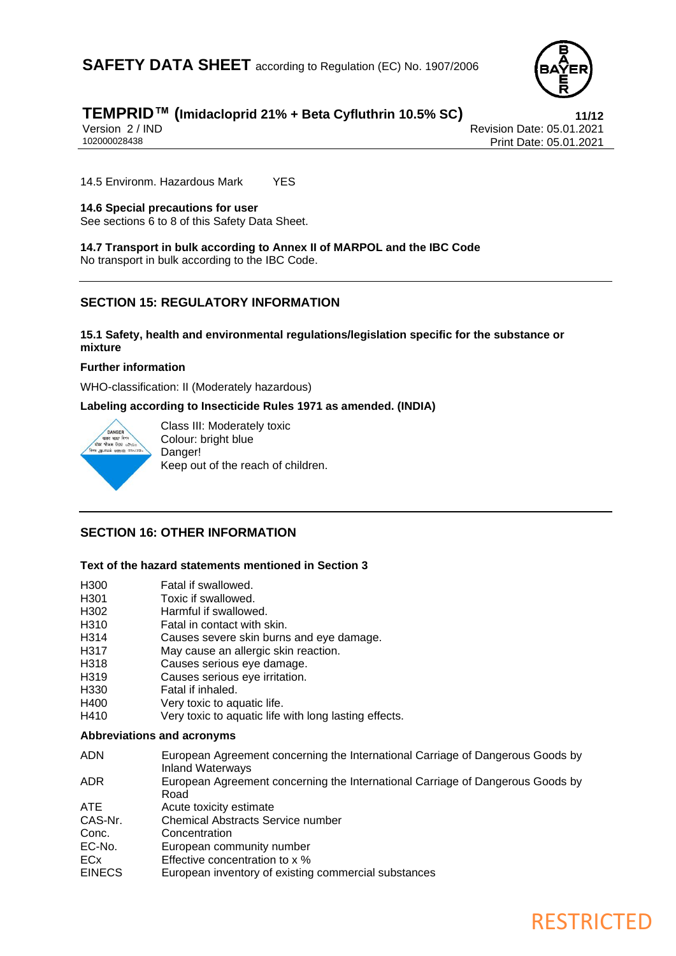

# **TEMPRID™ (Imidacloprid 21% + Beta Cyfluthrin 10.5% SC) 11/12**

Version 2 / IND<br>102000028438<br>Print Date: 05.01.2021 Print Date: 05.01.2021

14.5 Environm. Hazardous Mark YES

### **14.6 Special precautions for user**

See sections 6 to 8 of this Safety Data Sheet.

**14.7 Transport in bulk according to Annex II of MARPOL and the IBC Code** No transport in bulk according to the IBC Code.

### **SECTION 15: REGULATORY INFORMATION**

### **15.1 Safety, health and environmental regulations/legislation specific for the substance or mixture**

### **Further information**

WHO-classification: II (Moderately hazardous)

**Labeling according to Insecticide Rules 1971 as amended. (INDIA)**



Class III: Moderately toxic Colour: bright blue Danger! Keep out of the reach of children.

### **SECTION 16: OTHER INFORMATION**

### **Text of the hazard statements mentioned in Section 3**

| H300    | Fatal if swallowed.                                                                                |
|---------|----------------------------------------------------------------------------------------------------|
| H301    | Toxic if swallowed.                                                                                |
| H302    | Harmful if swallowed.                                                                              |
| H310    | Fatal in contact with skin.                                                                        |
| H314    | Causes severe skin burns and eye damage.                                                           |
| H317    | May cause an allergic skin reaction.                                                               |
| H318    | Causes serious eye damage.                                                                         |
| H319    | Causes serious eye irritation.                                                                     |
| H330    | Fatal if inhaled.                                                                                  |
| H400    | Very toxic to aquatic life.                                                                        |
| H410    | Very toxic to aquatic life with long lasting effects.                                              |
|         | Abbreviations and acronyms                                                                         |
| ADN     | European Agreement concerning the International Carriage of Dangerous Goods by<br>Inland Waterways |
| ADR.    | European Agreement concerning the International Carriage of Dangerous Goods by<br>Road             |
| ATE.    | Acute toxicity estimate                                                                            |
| CAS-Nr. | Chemical Abstracts Service number                                                                  |
| Conc.   | Concentration                                                                                      |
| EC-No.  | European community number                                                                          |

- ECx Effective concentration to x %
- EINECS European inventory of existing commercial substances